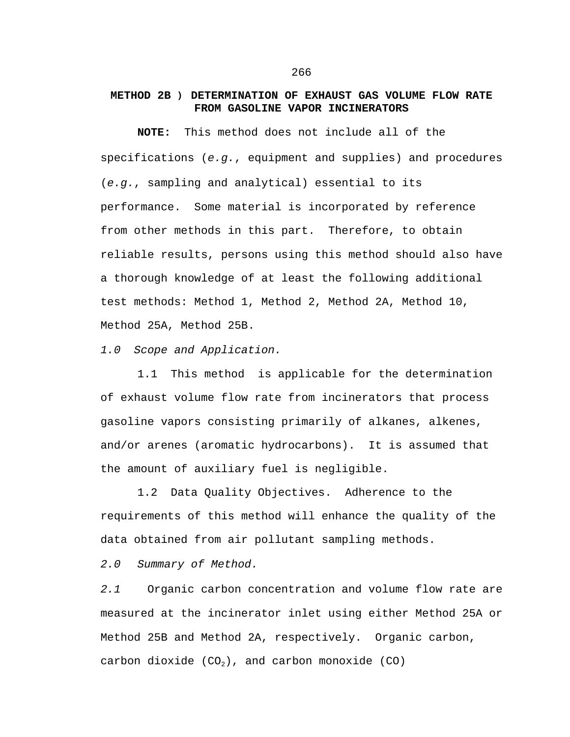## **METHOD 2B** ) **DETERMINATION OF EXHAUST GAS VOLUME FLOW RATE FROM GASOLINE VAPOR INCINERATORS**

**NOTE:** This method does not include all of the specifications (*e.g.*, equipment and supplies) and procedures (*e.g.*, sampling and analytical) essential to its performance. Some material is incorporated by reference from other methods in this part. Therefore, to obtain reliable results, persons using this method should also have a thorough knowledge of at least the following additional test methods: Method 1, Method 2, Method 2A, Method 10, Method 25A, Method 25B.

*1.0 Scope and Application.*

1.1 This method is applicable for the determination of exhaust volume flow rate from incinerators that process gasoline vapors consisting primarily of alkanes, alkenes, and/or arenes (aromatic hydrocarbons). It is assumed that the amount of auxiliary fuel is negligible.

1.2 Data Quality Objectives. Adherence to the requirements of this method will enhance the quality of the data obtained from air pollutant sampling methods.

*2.0 Summary of Method.*

*2.1* Organic carbon concentration and volume flow rate are measured at the incinerator inlet using either Method 25A or Method 25B and Method 2A, respectively. Organic carbon, carbon dioxide  $(CO_2)$ , and carbon monoxide  $(CO)$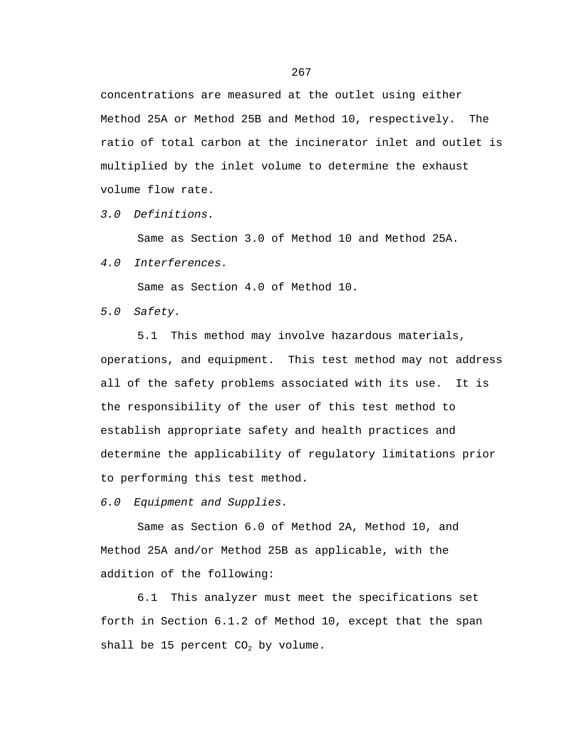concentrations are measured at the outlet using either Method 25A or Method 25B and Method 10, respectively. The ratio of total carbon at the incinerator inlet and outlet is multiplied by the inlet volume to determine the exhaust volume flow rate.

*3.0 Definitions.*

Same as Section 3.0 of Method 10 and Method 25A.

*4.0 Interferences.*

Same as Section 4.0 of Method 10.

*5.0 Safety.*

5.1 This method may involve hazardous materials, operations, and equipment. This test method may not address all of the safety problems associated with its use. It is the responsibility of the user of this test method to establish appropriate safety and health practices and determine the applicability of regulatory limitations prior to performing this test method.

*6.0 Equipment and Supplies.*

Same as Section 6.0 of Method 2A, Method 10, and Method 25A and/or Method 25B as applicable, with the addition of the following:

6.1 This analyzer must meet the specifications set forth in Section 6.1.2 of Method 10, except that the span shall be 15 percent  $CO<sub>2</sub>$  by volume.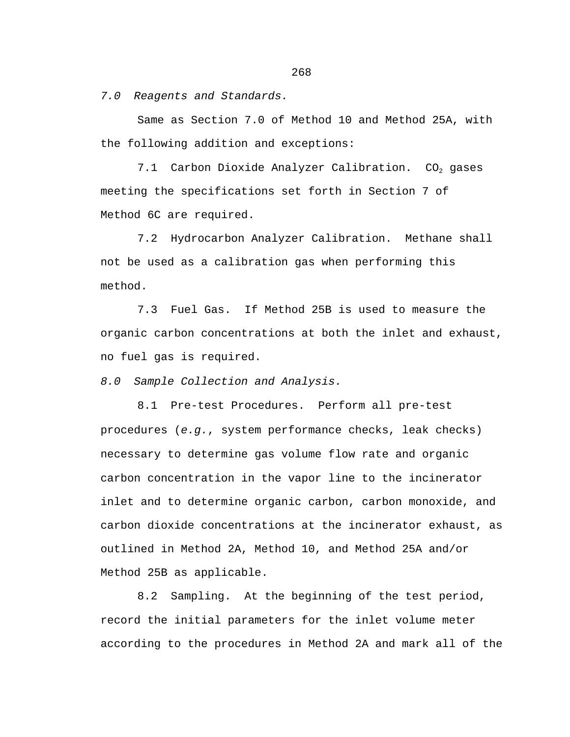*7.0 Reagents and Standards.*

Same as Section 7.0 of Method 10 and Method 25A, with the following addition and exceptions:

7.1 Carbon Dioxide Analyzer Calibration.  $CO<sub>2</sub>$  gases meeting the specifications set forth in Section 7 of Method 6C are required.

7.2 Hydrocarbon Analyzer Calibration. Methane shall not be used as a calibration gas when performing this method.

7.3 Fuel Gas. If Method 25B is used to measure the organic carbon concentrations at both the inlet and exhaust, no fuel gas is required.

*8.0 Sample Collection and Analysis.*

8.1 Pre-test Procedures. Perform all pre-test procedures (*e.g.*, system performance checks, leak checks) necessary to determine gas volume flow rate and organic carbon concentration in the vapor line to the incinerator inlet and to determine organic carbon, carbon monoxide, and carbon dioxide concentrations at the incinerator exhaust, as outlined in Method 2A, Method 10, and Method 25A and/or Method 25B as applicable.

8.2 Sampling. At the beginning of the test period, record the initial parameters for the inlet volume meter according to the procedures in Method 2A and mark all of the

268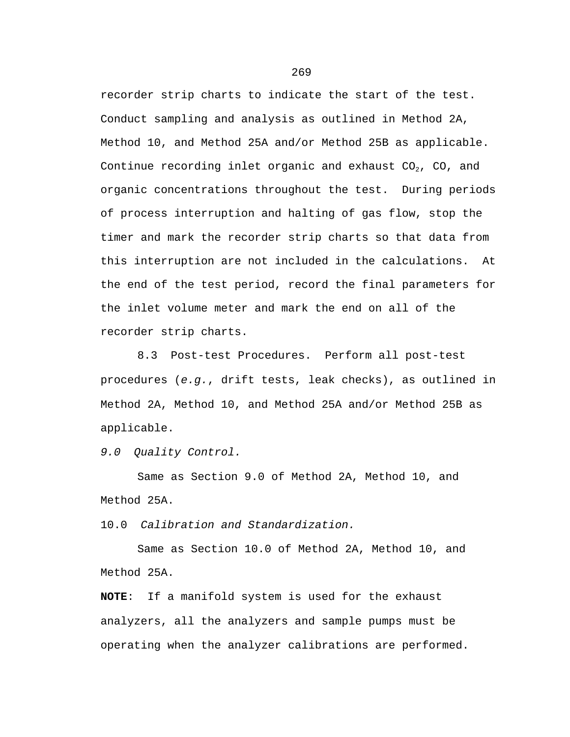recorder strip charts to indicate the start of the test. Conduct sampling and analysis as outlined in Method 2A, Method 10, and Method 25A and/or Method 25B as applicable. Continue recording inlet organic and exhaust  $CO<sub>2</sub>$ ,  $CO<sub>1</sub>$  and organic concentrations throughout the test. During periods of process interruption and halting of gas flow, stop the timer and mark the recorder strip charts so that data from this interruption are not included in the calculations. At the end of the test period, record the final parameters for the inlet volume meter and mark the end on all of the recorder strip charts.

8.3 Post-test Procedures. Perform all post-test procedures (*e.g.*, drift tests, leak checks), as outlined in Method 2A, Method 10, and Method 25A and/or Method 25B as applicable.

*9.0 Quality Control.*

Same as Section 9.0 of Method 2A, Method 10, and Method 25A.

10.0 *Calibration and Standardization.*

Same as Section 10.0 of Method 2A, Method 10, and Method 25A.

**NOTE**: If a manifold system is used for the exhaust analyzers, all the analyzers and sample pumps must be operating when the analyzer calibrations are performed.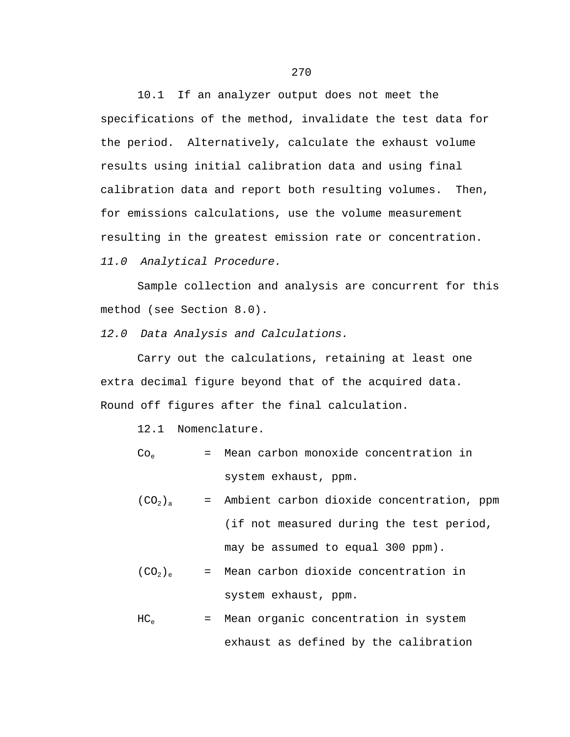10.1 If an analyzer output does not meet the specifications of the method, invalidate the test data for the period. Alternatively, calculate the exhaust volume results using initial calibration data and using final calibration data and report both resulting volumes. Then, for emissions calculations, use the volume measurement resulting in the greatest emission rate or concentration. *11.0 Analytical Procedure.*

Sample collection and analysis are concurrent for this method (see Section 8.0).

*12.0 Data Analysis and Calculations.*

Carry out the calculations, retaining at least one extra decimal figure beyond that of the acquired data. Round off figures after the final calculation.

12.1 Nomenclature.

$$
Co_{e}
$$
 = Mean carbon monoxide concentration in  
\nsystem exhaust, ppm.

 $(CO_2)_a$  = Ambient carbon dioxide concentration, ppm (if not measured during the test period, may be assumed to equal 300 ppm).

$$
(CO_2)_e
$$
 = Mean carbon dioxide concentration in  
\nsystem exhaust, ppm.

$$
HC_e
$$
 = Mean organic concentration in system  
\nexhaust as defined by the calibration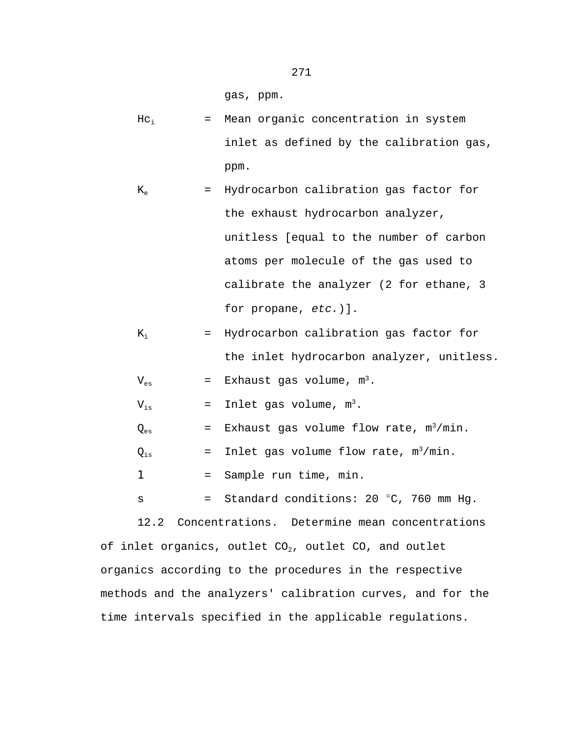gas, ppm.

 $HC_i$  = Mean organic concentration in system inlet as defined by the calibration gas, ppm.

$$
K_e
$$
 = Hydrocarbon calibration gas factor for  
\nthe exhaust hydrocarbon analyzer,  
\nunitless [equal to the number of carbon  
\natoms per molecule of the gas used to  
\ncalibrate the analyzer (2 for ethane, 3  
\nfor propane, etc.)].

$$
K_i
$$
 = Hydrocarbon calibration gas factor for  
\nthe inlet hydrocarbon analyzer, unitless.

 $V_{es}$  = Exhaust gas volume,  $m^3$ .

 $V_{is}$  = Inlet gas volume,  $m^3$ .

| Ves | = Exhaust gas volume flow rate, $m^3/m$ in. |  |  |  |  |  |  |
|-----|---------------------------------------------|--|--|--|--|--|--|
|-----|---------------------------------------------|--|--|--|--|--|--|

 $Q_{is}$  = Inlet gas volume flow rate,  $m^3/m$ in.

1 = Sample run time, min.

 $s =$  Standard conditions: 20 °C, 760 mm Hg.

12.2 Concentrations. Determine mean concentrations of inlet organics, outlet  $CO<sub>2</sub>$ , outlet  $CO<sub>2</sub>$  and outlet organics according to the procedures in the respective methods and the analyzers' calibration curves, and for the time intervals specified in the applicable regulations.

271